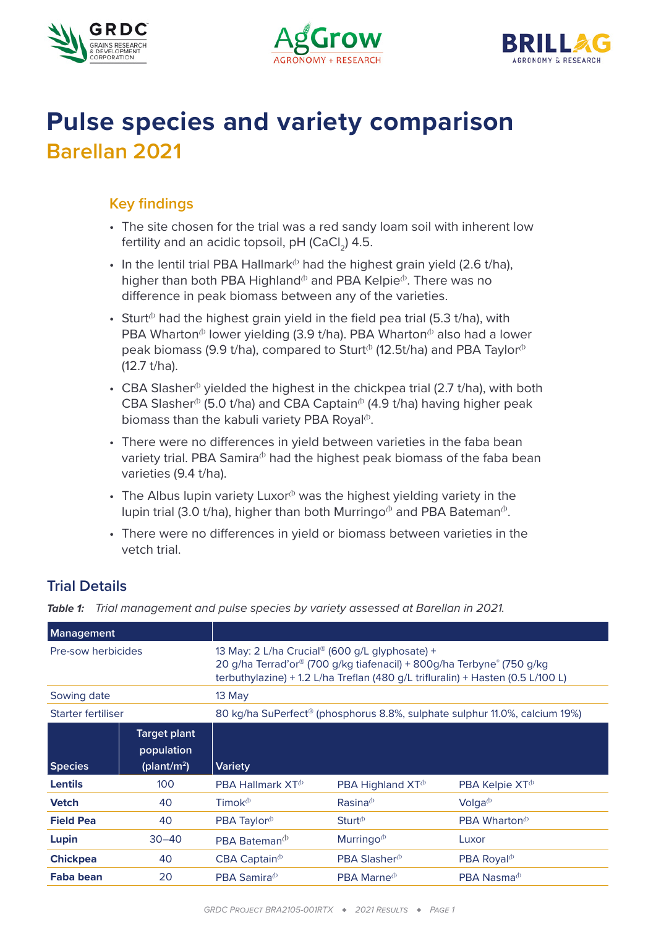





# **Pulse species and variety comparison Barellan 2021**

## **Key findings**

- The site chosen for the trial was a red sandy loam soil with inherent low fertility and an acidic topsoil,  $pH$  (CaCl<sub>2</sub>) 4.5.
- In the lentil trial PBA Hallmark<sup> $\Phi$ </sup> had the highest grain yield (2.6 t/ha), higher than both PBA Highland<sup> $\phi$ </sup> and PBA Kelpie<sup> $\phi$ </sup>. There was no difference in peak biomass between any of the varieties.
- Sturt<sup> $b$ </sup> had the highest grain yield in the field pea trial (5.3 t/ha), with PBA Wharton<sup> $\Phi$ </sup> lower yielding (3.9 t/ha). PBA Wharton $\Phi$  also had a lower peak biomass (9.9 t/ha), compared to Sturt<sup> $\phi$ </sup> (12.5t/ha) and PBA Taylor $\phi$ (12.7 t/ha).
- CBA Slasher<sup> $\phi$ </sup> yielded the highest in the chickpea trial (2.7 t/ha), with both CBA Slasher<sup> $\Phi$ </sup> (5.0 t/ha) and CBA Captain $\Phi$  (4.9 t/ha) having higher peak biomass than the kabuli variety PBA Royal $\Phi$ .
- There were no differences in yield between varieties in the faba bean variety trial. PBA Samira $\Phi$  had the highest peak biomass of the faba bean varieties (9.4 t/ha).
- The Albus lupin variety Luxor $\Phi$  was the highest yielding variety in the lupin trial (3.0 t/ha), higher than both Murringo<sup> $\phi$ </sup> and PBA Bateman<sup> $\phi$ </sup>.
- There were no differences in yield or biomass between varieties in the vetch trial.

# **Trial Details**

*Table 1: Trial management and pulse species by variety assessed at Barellan in 2021.*

| <b>Management</b>  |                                                              |                                                                                                                                                                                                                        |                                     |                             |  |  |
|--------------------|--------------------------------------------------------------|------------------------------------------------------------------------------------------------------------------------------------------------------------------------------------------------------------------------|-------------------------------------|-----------------------------|--|--|
| Pre-sow herbicides |                                                              | 13 May: 2 L/ha Crucial <sup>®</sup> (600 g/L glyphosate) +<br>20 g/ha Terrad'or® (700 g/kg tiafenacil) + 800g/ha Terbyne® (750 g/kg<br>terbuthylazine) + 1.2 L/ha Treflan (480 g/L trifluralin) + Hasten (0.5 L/100 L) |                                     |                             |  |  |
| Sowing date        |                                                              | $13$ May                                                                                                                                                                                                               |                                     |                             |  |  |
| Starter fertiliser |                                                              | 80 kg/ha SuPerfect <sup>®</sup> (phosphorus 8.8%, sulphate sulphur 11.0%, calcium 19%)                                                                                                                                 |                                     |                             |  |  |
| <b>Species</b>     | <b>Target plant</b><br>population<br>(plant/m <sup>2</sup> ) | <b>Variety</b>                                                                                                                                                                                                         |                                     |                             |  |  |
| <b>Lentils</b>     | 100                                                          | <b>PBA Hallmark <math>XT^{\circ}</math></b>                                                                                                                                                                            | PBA Highland $XT^{\circ}$           | PBA Kelpie XT <sup>®</sup>  |  |  |
| <b>Vetch</b>       | 40                                                           | Timok $\Phi$                                                                                                                                                                                                           | Rasina <sup>0</sup>                 | $Volqa^{(b)}$               |  |  |
| <b>Field Pea</b>   | 40                                                           | PBA Taylor <sup>®</sup>                                                                                                                                                                                                | $Sturt$ <sup><math>(b)</math></sup> | PBA Wharton $\Phi$          |  |  |
| Lupin              | $30 - 40$                                                    | PBA Bateman <sup>(b)</sup>                                                                                                                                                                                             | Murringo <sup>®</sup>               | Luxor                       |  |  |
| <b>Chickpea</b>    | 40                                                           | $CBA$ Captain <sup><math>\Phi</math></sup>                                                                                                                                                                             | PBA Slasher <sup>®</sup>            | PBA Royal <sup>®</sup>      |  |  |
| Faba bean          | 20                                                           | <b>PBA Samira</b> <sup><math>\Phi</math></sup>                                                                                                                                                                         | <b>PBA Marne</b> $\Phi$             | <b>PBA Nasma</b> $^{\circ}$ |  |  |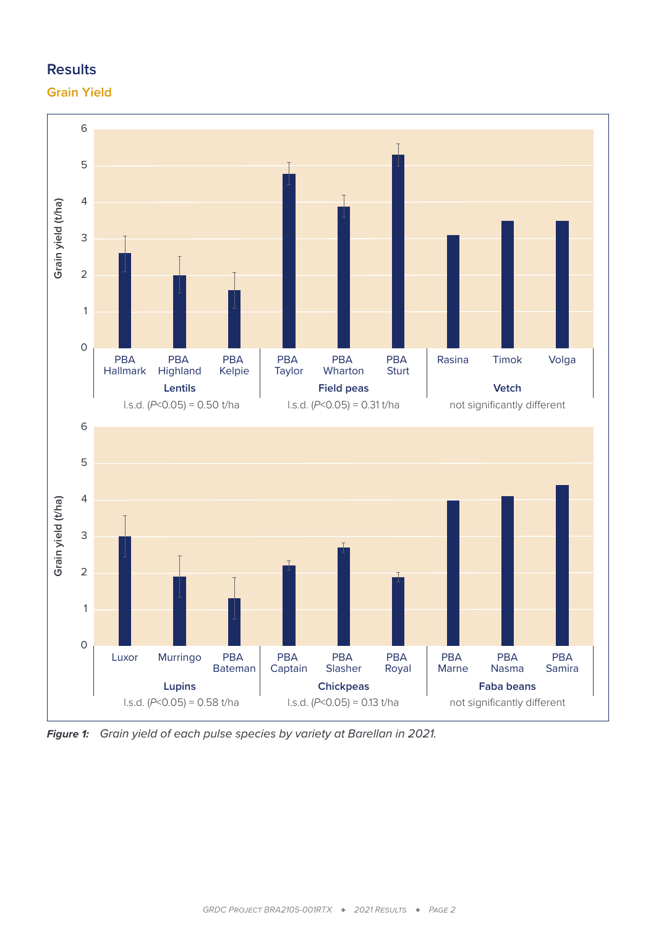# **Results**

## **Grain Yield**



*Figure 1: Grain yield of each pulse species by variety at Barellan in 2021.*